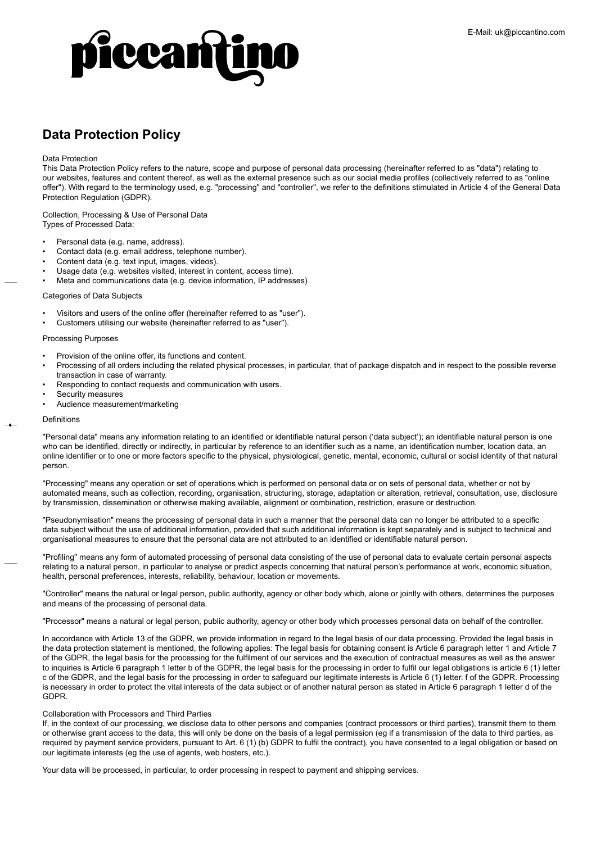<span id="page-0-0"></span>

# **Data Protection Policy**

# Data Protection

This Data Protection Policy refers to the nature, scope and purpose of personal data processing (hereinafter referred to as "data") relating to our websites, features and content thereof, as well as the external presence such as our social media profiles (collectively referred to as "online offer"). With regard to the terminology used, e.g. "processing" and "controller", we refer to the definitions stimulated in Article 4 of the General Data Protection Regulation (GDPR).

Collection, Processing & Use of Personal Data Types of Processed Data:

- Personal data (e.g. name, address).
- Contact data (e.g. email address, telephone number).
- Content data (e.g. text input, images, videos).
- Usage data (e.g. websites visited, interest in content, access time).
- Meta and communications data (e.g. device information, IP addresses)

# Categories of Data Subjects

- Visitors and users of the online offer (hereinafter referred to as "user").
- Customers utilising our website (hereinafter referred to as "user").

# Processing Purposes

- Provision of the online offer, its functions and content.
- Processing of all orders including the related physical processes, in particular, that of package dispatch and in respect to the possible reverse transaction in case of warranty.
- Responding to contact requests and communication with users.
- Security measures
- Audience measurement/marketing

#### Definitions

"Personal data" means any information relating to an identified or identifiable natural person ('data subject'); an identifiable natural person is one who can be identified, directly or indirectly, in particular by reference to an identifier such as a name, an identification number, location data, an online identifier or to one or more factors specific to the physical, physiological, genetic, mental, economic, cultural or social identity of that natural person.

"Processing" means any operation or set of operations which is performed on personal data or on sets of personal data, whether or not by automated means, such as collection, recording, organisation, structuring, storage, adaptation or alteration, retrieval, consultation, use, disclosure by transmission, dissemination or otherwise making available, alignment or combination, restriction, erasure or destruction.

"Pseudonymisation" means the processing of personal data in such a manner that the personal data can no longer be attributed to a specific data subject without the use of additional information, provided that such additional information is kept separately and is subject to technical and organisational measures to ensure that the personal data are not attributed to an identified or identifiable natural person.

"Profiling" means any form of automated processing of personal data consisting of the use of personal data to evaluate certain personal aspects relating to a natural person, in particular to analyse or predict aspects concerning that natural person's performance at work, economic situation, health, personal preferences, interests, reliability, behaviour, location or movements.

"Controller" means the natural or legal person, public authority, agency or other body which, alone or jointly with others, determines the purposes and means of the processing of personal data.

"Processor" means a natural or legal person, public authority, agency or other body which processes personal data on behalf of the controller.

In accordance with Article 13 of the GDPR, we provide information in regard to the legal basis of our data processing. Provided the legal basis in the data protection statement is mentioned, the following applies: The legal basis for obtaining consent is Article 6 paragraph letter 1 and Article 7 of the GDPR, the legal basis for the processing for the fulfilment of our services and the execution of contractual measures as well as the answer to inquiries is Article 6 paragraph 1 letter b of the GDPR, the legal basis for the processing in order to fulfil our legal obligations is article 6 (1) letter c of the GDPR, and the legal basis for the processing in order to safeguard our legitimate interests is Article 6 (1) letter. f of the GDPR. Processing is necessary in order to protect the vital interests of the data subject or of another natural person as stated in Article 6 paragraph 1 letter d of the GDPR.

# Collaboration with Processors and Third Parties

If, in the context of our processing, we disclose data to other persons and companies (contract processors or third parties), transmit them to them or otherwise grant access to the data, this will only be done on the basis of a legal permission (eg if a transmission of the data to third parties, as required by payment service providers, pursuant to Art. 6 (1) (b) GDPR to fulfil the contract), you have consented to a legal obligation or based on our legitimate interests (eg the use of agents, web hosters, etc.).

Your data will be processed, in particular, to order processing in respect to payment and shipping services.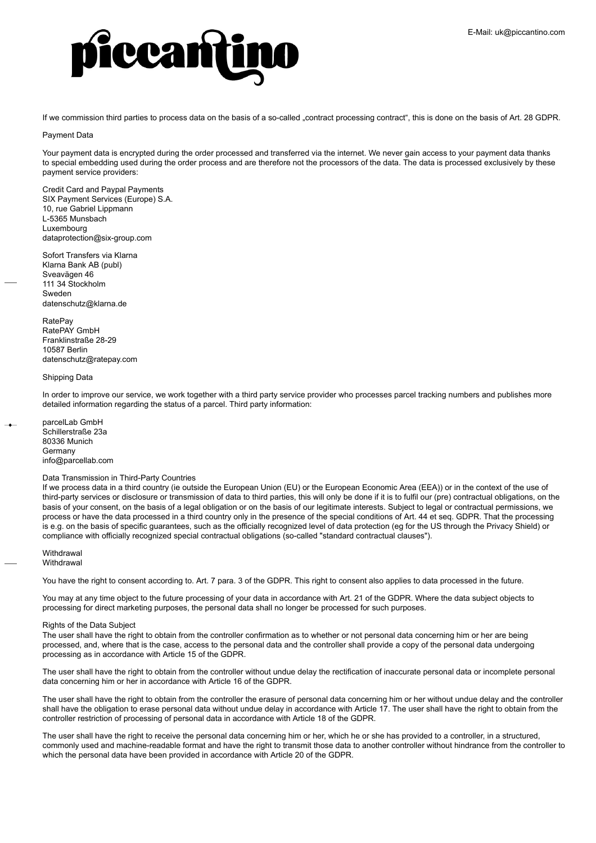

If we commission third parties to process data on the basis of a so-called "contract processing contract", this is done on the basis of Art. 28 GDPR.

# Payment Data

Your payment data is encrypted during the order processed and transferred via the internet. We never gain access to your payment data thanks to special embedding used during the order process and are therefore not the processors of the data. The data is processed exclusively by these payment service providers:

Credit Card and Paypal Payments SIX Payment Services (Europe) S.A. 10, rue Gabriel Lippmann L-5365 Munsbach Luxembourg dataprotection@six-group.com

Sofort Transfers via Klarna Klarna Bank AB (publ) Sveavägen 46 111 34 Stockholm Sweden datenschutz@klarna.de

RatePay RatePAY GmbH Franklinstraße 28-29 10587 Berlin datenschutz@ratepay.com

# Shipping Data

In order to improve our service, we work together with a third party service provider who processes parcel tracking numbers and publishes more detailed information regarding the status of a parcel. Third party information:

parcelLab GmbH Schillerstraße 23a 80336 Munich **Germany** info@parcellab.com

# Data Transmission in Third-Party Countries

If we process data in a third country (ie outside the European Union (EU) or the European Economic Area (EEA)) or in the context of the use of third-party services or disclosure or transmission of data to third parties, this will only be done if it is to fulfil our (pre) contractual obligations, on the basis of your consent, on the basis of a legal obligation or on the basis of our legitimate interests. Subject to legal or contractual permissions, we process or have the data processed in a third country only in the presence of the special conditions of Art. 44 et seq. GDPR. That the processing is e.g. on the basis of specific guarantees, such as the officially recognized level of data protection (eg for the US through the Privacy Shield) or compliance with officially recognized special contractual obligations (so-called "standard contractual clauses").

**Withdrawal Withdrawal** 

You have the right to consent according to. Art. 7 para. 3 of the GDPR. This right to consent also applies to data processed in the future.

You may at any time object to the future processing of your data in accordance with Art. 21 of the GDPR. Where the data subject objects to processing for direct marketing purposes, the personal data shall no longer be processed for such purposes.

#### Rights of the Data Subject

The user shall have the right to obtain from the controller confirmation as to whether or not personal data concerning him or her are being processed, and, where that is the case, access to the personal data and the controller shall provide a copy of the personal data undergoing processing as in accordance with Article 15 of the GDPR.

The user shall have the right to obtain from the controller without undue delay the rectification of inaccurate personal data or incomplete personal data concerning him or her in accordance with Article 16 of the GDPR.

The user shall have the right to obtain from the controller the erasure of personal data concerning him or her without undue delay and the controller shall have the obligation to erase personal data without undue delay in accordance with Article 17. The user shall have the right to obtain from the controller restriction of processing of personal data in accordance with Article 18 of the GDPR.

The user shall have the right to receive the personal data concerning him or her, which he or she has provided to a controller, in a structured, commonly used and machine-readable format and have the right to transmit those data to another controller without hindrance from the controller to which the personal data have been provided in accordance with Article 20 of the GDPR.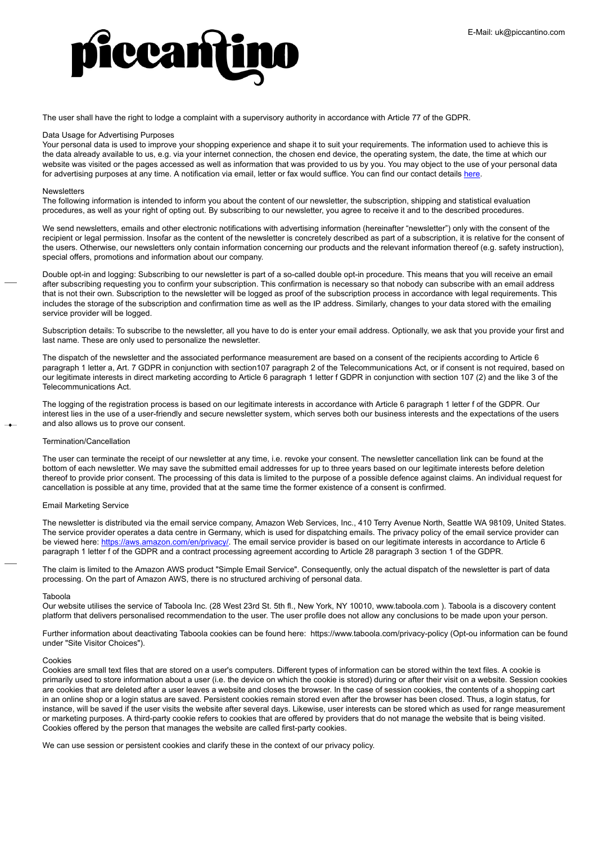

The user shall have the right to lodge a complaint with a supervisory authority in accordance with Article 77 of the GDPR.

#### Data Usage for Advertising Purposes

Your personal data is used to improve your shopping experience and shape it to suit your requirements. The information used to achieve this is the data already available to us, e.g. via your internet connection, the chosen end device, the operating system, the date, the time at which our website was visited or the pages accessed as well as information that was provided to us by you. You may object to the use of your personal data for advertising purposes at any time. A notification via email, letter or fax would suffice. You can find our contact details [here](http://https://www.piccantino.at/info/kontakt).

# Newsletters

The following information is intended to inform you about the content of our newsletter, the subscription, shipping and statistical evaluation procedures, as well as your right of opting out. By subscribing to our newsletter, you agree to receive it and to the described procedures.

We send newsletters, emails and other electronic notifications with advertising information (hereinafter "newsletter") only with the consent of the recipient or legal permission. Insofar as the content of the newsletter is concretely described as part of a subscription, it is relative for the consent of the users. Otherwise, our newsletters only contain information concerning our products and the relevant information thereof (e.g. safety instruction), special offers, promotions and information about our company.

Double opt-in and logging: Subscribing to our newsletter is part of a so-called double opt-in procedure. This means that you will receive an email after subscribing requesting you to confirm your subscription. This confirmation is necessary so that nobody can subscribe with an email address that is not their own. Subscription to the newsletter will be logged as proof of the subscription process in accordance with legal requirements. This includes the storage of the subscription and confirmation time as well as the IP address. Similarly, changes to your data stored with the emailing service provider will be logged.

Subscription details: To subscribe to the newsletter, all you have to do is enter your email address. Optionally, we ask that you provide your first and last name. These are only used to personalize the newsletter.

The dispatch of the newsletter and the associated performance measurement are based on a consent of the recipients according to Article 6 paragraph 1 letter a, Art. 7 GDPR in conjunction with section107 paragraph 2 of the Telecommunications Act, or if consent is not required, based on our legitimate interests in direct marketing according to Article 6 paragraph 1 letter f GDPR in conjunction with section 107 (2) and the like 3 of the Telecommunications Act.

The logging of the registration process is based on our legitimate interests in accordance with Article 6 paragraph 1 letter f of the GDPR. Our interest lies in the use of a user-friendly and secure newsletter system, which serves both our business interests and the expectations of the users and also allows us to prove our consent.

#### Termination/Cancellation

The user can terminate the receipt of our newsletter at any time, i.e. revoke your consent. The newsletter cancellation link can be found at the bottom of each newsletter. We may save the submitted email addresses for up to three years based on our legitimate interests before deletion thereof to provide prior consent. The processing of this data is limited to the purpose of a possible defence against claims. An individual request for cancellation is possible at any time, provided that at the same time the former existence of a consent is confirmed.

#### Email Marketing Service

The newsletter is distributed via the email service company, Amazon Web Services, Inc., 410 Terry Avenue North, Seattle WA 98109, United States. The service provider operates a data centre in Germany, which is used for dispatching emails. The privacy policy of the email service provider can be viewed here: [https://aws.amazon.com/en/privacy/](https://aws.amazon.com/privacy/?nc1=h_ls). The email service provider is based on our legitimate interests in accordance to Article 6 paragraph 1 letter f of the GDPR and a contract processing agreement according to Article 28 paragraph 3 section 1 of the GDPR.

The claim is limited to the Amazon AWS product "Simple Email Service". Consequently, only the actual dispatch of the newsletter is part of data processing. On the part of Amazon AWS, there is no structured archiving of personal data.

#### Taboola

Our website utilises the service of Taboola Inc. (28 West 23rd St. 5th fl., New York, NY 10010, www.taboola.com ). Taboola is a discovery content platform that delivers personalised recommendation to the user. The user profile does not allow any conclusions to be made upon your person.

Further information about deactivating Taboola cookies can be found here: https://www.taboola.com/privacy-policy (Opt-ou information can be found under "Site Visitor Choices").

# Cookies

Cookies are small text files that are stored on a user's computers. Different types of information can be stored within the text files. A cookie is primarily used to store information about a user (i.e. the device on which the cookie is stored) during or after their visit on a website. Session cookies are cookies that are deleted after a user leaves a website and closes the browser. In the case of session cookies, the contents of a shopping cart in an online shop or a login status are saved. Persistent cookies remain stored even after the browser has been closed. Thus, a login status, for instance, will be saved if the user visits the website after several days. Likewise, user interests can be stored which as used for range measurement or marketing purposes. A third-party cookie refers to cookies that are offered by providers that do not manage the website that is being visited. Cookies offered by the person that manages the website are called first-party cookies.

We can use session or persistent cookies and clarify these in the context of our privacy policy.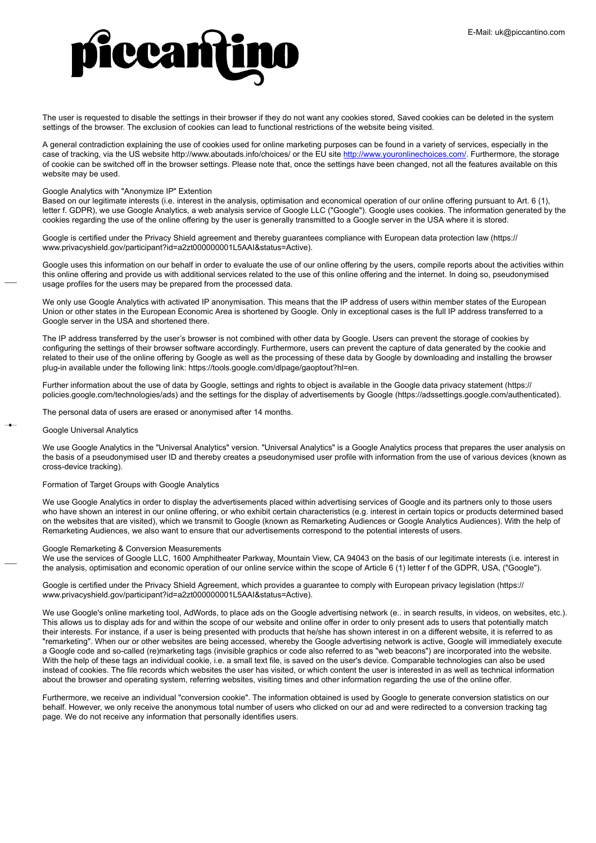

The user is requested to disable the settings in their browser if they do not want any cookies stored, Saved cookies can be deleted in the system settings of the browser. The exclusion of cookies can lead to functional restrictions of the website being visited.

A general contradiction explaining the use of cookies used for online marketing purposes can be found in a variety of services, especially in the case of tracking, via the US website http://www.aboutads.info/choices/ or the EU site [http://www.youronlinechoices.com/](https://www.youronlinechoices.com/). Furthermore, the storage of cookie can be switched off in the browser settings. Please note that, once the settings have been changed, not all the features available on this website may be used.

# Google Analytics with "Anonymize IP" Extention

Based on our legitimate interests (i.e. interest in the analysis, optimisation and economical operation of our online offering pursuant to Art. 6 (1), letter f. GDPR), we use Google Analytics, a web analysis service of Google LLC ("Google"). Google uses cookies. The information generated by the cookies regarding the use of the online offering by the user is generally transmitted to a Google server in the USA where it is stored.

Google is certified under the Privacy Shield agreement and thereby guarantees compliance with European data protection law (https:// www.privacyshield.gov/participant?id=a2zt000000001L5AAI&status=Active).

Google uses this information on our behalf in order to evaluate the use of our online offering by the users, compile reports about the activities within this online offering and provide us with additional services related to the use of this online offering and the internet. In doing so, pseudonymised usage profiles for the users may be prepared from the processed data.

We only use Google Analytics with activated IP anonymisation. This means that the IP address of users within member states of the European Union or other states in the European Economic Area is shortened by Google. Only in exceptional cases is the full IP address transferred to a Google server in the USA and shortened there.

The IP address transferred by the user's browser is not combined with other data by Google. Users can prevent the storage of cookies by configuring the settings of their browser software accordingly. Furthermore, users can prevent the capture of data generated by the cookie and related to their use of the online offering by Google as well as the processing of these data by Google by downloading and installing the browser plug-in available under the following link: https://tools.google.com/dlpage/gaoptout?hl=en.

Further information about the use of data by Google, settings and rights to object is available in the Google data privacy statement (https:// policies.google.com/technologies/ads) and the settings for the display of advertisements by Google (https://adssettings.google.com/authenticated).

The personal data of users are erased or anonymised after 14 months.

# Google Universal Analytics

We use Google Analytics in the "Universal Analytics" version. "Universal Analytics" is a Google Analytics process that prepares the user analysis on the basis of a pseudonymised user ID and thereby creates a pseudonymised user profile with information from the use of various devices (known as cross-device tracking).

#### Formation of Target Groups with Google Analytics

We use Google Analytics in order to display the advertisements placed within advertising services of Google and its partners only to those users who have shown an interest in our online offering, or who exhibit certain characteristics (e.g. interest in certain topics or products determined based on the websites that are visited), which we transmit to Google (known as Remarketing Audiences or Google Analytics Audiences). With the help of Remarketing Audiences, we also want to ensure that our advertisements correspond to the potential interests of users.

# Google Remarketing & Conversion Measurements

We use the services of Google LLC, 1600 Amphitheater Parkway, Mountain View, CA 94043 on the basis of our legitimate interests (i.e. interest in the analysis, optimisation and economic operation of our online service within the scope of Article 6 (1) letter f of the GDPR, USA, ("Google").

Google is certified under the Privacy Shield Agreement, which provides a guarantee to comply with European privacy legislation (https:// www.privacyshield.gov/participant?id=a2zt000000001L5AAI&status=Active).

We use Google's online marketing tool, AdWords, to place ads on the Google advertising network (e.. in search results, in videos, on websites, etc.). This allows us to display ads for and within the scope of our website and online offer in order to only present ads to users that potentially match their interests. For instance, if a user is being presented with products that he/she has shown interest in on a different website, it is referred to as "remarketing". When our or other websites are being accessed, whereby the Google advertising network is active, Google will immediately execute a Google code and so-called (re)marketing tags (invisible graphics or code also referred to as "web beacons") are incorporated into the website. With the help of these tags an individual cookie, i.e. a small text file, is saved on the user's device. Comparable technologies can also be used instead of cookies. The file records which websites the user has visited, or which content the user is interested in as well as technical information about the browser and operating system, referring websites, visiting times and other information regarding the use of the online offer.

Furthermore, we receive an individual "conversion cookie". The information obtained is used by Google to generate conversion statistics on our behalf. However, we only receive the anonymous total number of users who clicked on our ad and were redirected to a conversion tracking tag page. We do not receive any information that personally identifies users.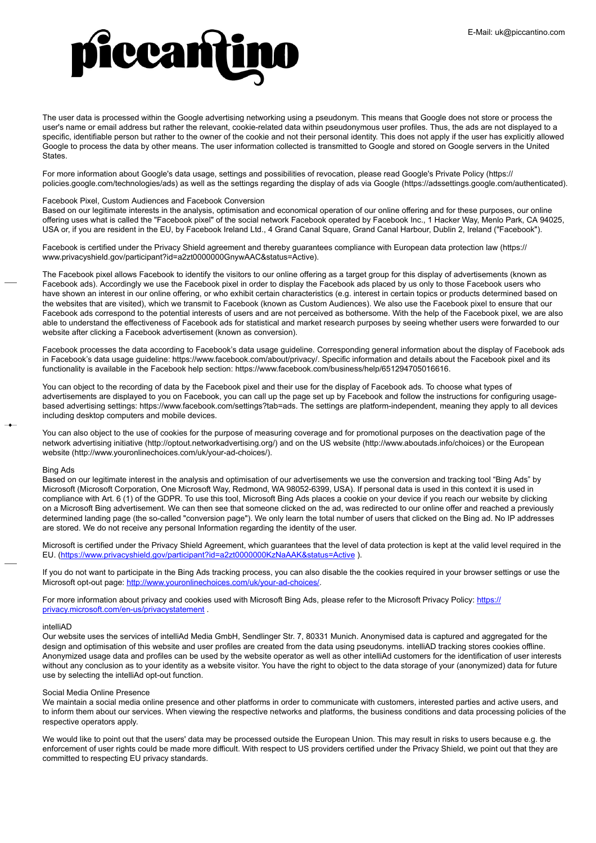# **ceanti**

The user data is processed within the Google advertising networking using a pseudonym. This means that Google does not store or process the user's name or email address but rather the relevant, cookie-related data within pseudonymous user profiles. Thus, the ads are not displayed to a specific, identifiable person but rather to the owner of the cookie and not their personal identity. This does not apply if the user has explicitly allowed Google to process the data by other means. The user information collected is transmitted to Google and stored on Google servers in the United **States** 

For more information about Google's data usage, settings and possibilities of revocation, please read Google's Private Policy (https:// policies.google.com/technologies/ads) as well as the settings regarding the display of ads via Google (https://adssettings.google.com/authenticated).

# Facebook Pixel, Custom Audiences and Facebook Conversion

Based on our legitimate interests in the analysis, optimisation and economical operation of our online offering and for these purposes, our online offering uses what is called the "Facebook pixel" of the social network Facebook operated by Facebook Inc., 1 Hacker Way, Menlo Park, CA 94025, USA or, if you are resident in the EU, by Facebook Ireland Ltd., 4 Grand Canal Square, Grand Canal Harbour, Dublin 2, Ireland ("Facebook").

Facebook is certified under the Privacy Shield agreement and thereby guarantees compliance with European data protection law (https:// www.privacyshield.gov/participant?id=a2zt0000000GnywAAC&status=Active).

The Facebook pixel allows Facebook to identify the visitors to our online offering as a target group for this display of advertisements (known as Facebook ads). Accordingly we use the Facebook pixel in order to display the Facebook ads placed by us only to those Facebook users who have shown an interest in our online offering, or who exhibit certain characteristics (e.g. interest in certain topics or products determined based on the websites that are visited), which we transmit to Facebook (known as Custom Audiences). We also use the Facebook pixel to ensure that our Facebook ads correspond to the potential interests of users and are not perceived as bothersome. With the help of the Facebook pixel, we are also able to understand the effectiveness of Facebook ads for statistical and market research purposes by seeing whether users were forwarded to our website after clicking a Facebook advertisement (known as conversion).

Facebook processes the data according to Facebook's data usage guideline. Corresponding general information about the display of Facebook ads in Facebook's data usage guideline: https://www.facebook.com/about/privacy/. Specific information and details about the Facebook pixel and its functionality is available in the Facebook help section: https://www.facebook.com/business/help/651294705016616.

You can object to the recording of data by the Facebook pixel and their use for the display of Facebook ads. To choose what types of advertisements are displayed to you on Facebook, you can call up the page set up by Facebook and follow the instructions for configuring usagebased advertising settings: https://www.facebook.com/settings?tab=ads. The settings are platform-independent, meaning they apply to all devices including desktop computers and mobile devices.

You can also object to the use of cookies for the purpose of measuring coverage and for promotional purposes on the deactivation page of the network advertising initiative (http://optout.networkadvertising.org/) and on the US website (http://www.aboutads.info/choices) or the European website (http://www.youronlinechoices.com/uk/your-ad-choices/).

#### Bing Ads

Based on our legitimate interest in the analysis and optimisation of our advertisements we use the conversion and tracking tool "Bing Ads" by Microsoft (Microsoft Corporation, One Microsoft Way, Redmond, WA 98052-6399, USA). If personal data is used in this context it is used in compliance with Art. 6 (1) of the GDPR. To use this tool, Microsoft Bing Ads places a cookie on your device if you reach our website by clicking on a Microsoft Bing advertisement. We can then see that someone clicked on the ad, was redirected to our online offer and reached a previously determined landing page (the so-called "conversion page"). We only learn the total number of users that clicked on the Bing ad. No IP addresses are stored. We do not receive any personal Information regarding the identity of the user.

Microsoft is certified under the Privacy Shield Agreement, which guarantees that the level of data protection is kept at the valid level required in the EU. (<https://www.privacyshield.gov/participant?id=a2zt0000000KzNaAAK&status=Active> ).

If you do not want to participate in the Bing Ads tracking process, you can also disable the the cookies required in your browser settings or use the Microsoft opt-out page: [http://www.youronlinechoices.com/uk/your-ad-choices/.](http://www.youronlinechoices.com/uk/your-ad-choices/)

For more information about privacy and cookies used with Microsoft Bing Ads, please refer to the Microsoft Privacy Policy: [https://](https://privacy.microsoft.com/de-de/privacystatement) [privacy.microsoft.com/en-us/privacystatement](https://privacy.microsoft.com/de-de/privacystatement) .

#### intelliAD

Our website uses the services of intelliAd Media GmbH, Sendlinger Str. 7, 80331 Munich. Anonymised data is captured and aggregated for the design and optimisation of this website and user profiles are created from the data using pseudonyms. intelliAD tracking stores cookies offline. Anonymized usage data and profiles can be used by the website operator as well as other intelliAd customers for the identification of user interests without any conclusion as to your identity as a website visitor. You have the right to object to the data storage of your (anonymized) data for future use by selecting the intelliAd opt-out function.

# Social Media Online Presence

We maintain a social media online presence and other platforms in order to communicate with customers, interested parties and active users, and to inform them about our services. When viewing the respective networks and platforms, the business conditions and data processing policies of the respective operators apply.

We would like to point out that the users' data may be processed outside the European Union. This may result in risks to users because e.g. the enforcement of user rights could be made more difficult. With respect to US providers certified under the Privacy Shield, we point out that they are committed to respecting EU privacy standards.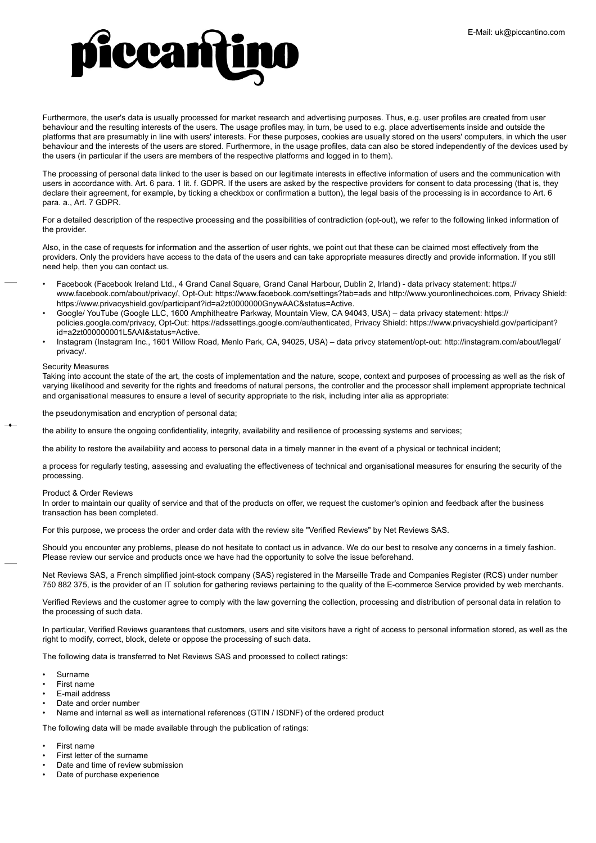

Furthermore, the user's data is usually processed for market research and advertising purposes. Thus, e.g. user profiles are created from user behaviour and the resulting interests of the users. The usage profiles may, in turn, be used to e.g. place advertisements inside and outside the platforms that are presumably in line with users' interests. For these purposes, cookies are usually stored on the users' computers, in which the user behaviour and the interests of the users are stored. Furthermore, in the usage profiles, data can also be stored independently of the devices used by the users (in particular if the users are members of the respective platforms and logged in to them).

The processing of personal data linked to the user is based on our legitimate interests in effective information of users and the communication with users in accordance with. Art. 6 para. 1 lit. f. GDPR. If the users are asked by the respective providers for consent to data processing (that is, they declare their agreement, for example, by ticking a checkbox or confirmation a button), the legal basis of the processing is in accordance to Art. 6 para. a., Art. 7 GDPR.

For a detailed description of the respective processing and the possibilities of contradiction (opt-out), we refer to the following linked information of the provider.

Also, in the case of requests for information and the assertion of user rights, we point out that these can be claimed most effectively from the providers. Only the providers have access to the data of the users and can take appropriate measures directly and provide information. If you still need help, then you can contact us.

- Facebook (Facebook Ireland Ltd., 4 Grand Canal Square, Grand Canal Harbour, Dublin 2, Irland) data privacy statement: https:// www.facebook.com/about/privacy/, Opt-Out: https://www.facebook.com/settings?tab=ads and http://www.youronlinechoices.com, Privacy Shield: https://www.privacyshield.gov/participant?id=a2zt0000000GnywAAC&status=Active.
- Google/ YouTube (Google LLC, 1600 Amphitheatre Parkway, Mountain View, CA 94043, USA) data privacy statement: https:// policies.google.com/privacy, Opt-Out: https://adssettings.google.com/authenticated, Privacy Shield: https://www.privacyshield.gov/participant? id=a2zt000000001L5AAI&status=Active.
- Instagram (Instagram Inc., 1601 Willow Road, Menlo Park, CA, 94025, USA) data privcy statement/opt-out: http://instagram.com/about/legal/ privacy/.

# Security Measures

Taking into account the state of the art, the costs of implementation and the nature, scope, context and purposes of processing as well as the risk of varying likelihood and severity for the rights and freedoms of natural persons, the controller and the processor shall implement appropriate technical and organisational measures to ensure a level of security appropriate to the risk, including inter alia as appropriate:

the pseudonymisation and encryption of personal data;

the ability to ensure the ongoing confidentiality, integrity, availability and resilience of processing systems and services;

the ability to restore the availability and access to personal data in a timely manner in the event of a physical or technical incident;

a process for regularly testing, assessing and evaluating the effectiveness of technical and organisational measures for ensuring the security of the processing.

# Product & Order Reviews

In order to maintain our quality of service and that of the products on offer, we request the customer's opinion and feedback after the business transaction has been completed.

For this purpose, we process the order and order data with the review site "Verified Reviews" by Net Reviews SAS.

Should you encounter any problems, please do not hesitate to contact us in advance. We do our best to resolve any concerns in a timely fashion. Please review our service and products once we have had the opportunity to solve the issue beforehand.

Net Reviews SAS, a French simplified joint-stock company (SAS) registered in the Marseille Trade and Companies Register (RCS) under number 750 882 375, is the provider of an IT solution for gathering reviews pertaining to the quality of the E-commerce Service provided by web merchants.

Verified Reviews and the customer agree to comply with the law governing the collection, processing and distribution of personal data in relation to the processing of such data.

In particular, Verified Reviews guarantees that customers, users and site visitors have a right of access to personal information stored, as well as the right to modify, correct, block, delete or oppose the processing of such data.

The following data is transferred to Net Reviews SAS and processed to collect ratings:

- Surname
- First name
- E-mail address
- Date and order number
- Name and internal as well as international references (GTIN / ISDNF) of the ordered product

The following data will be made available through the publication of ratings:

- First name
- First letter of the surname
- Date and time of review submission
- Date of purchase experience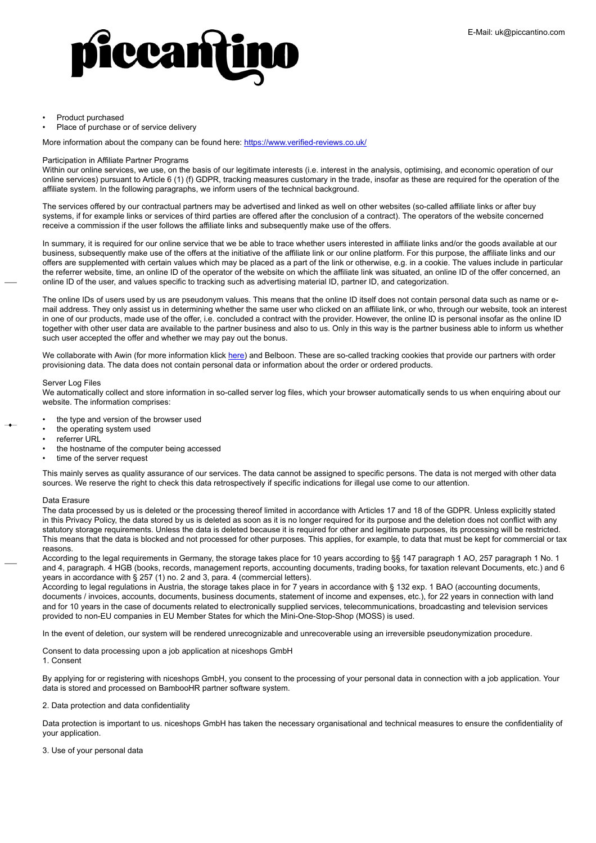

#### • Product purchased

Place of purchase or of service delivery

More information about the company can be found here: <https://www.verified-reviews.co.uk/>

#### Participation in Affiliate Partner Programs

Within our online services, we use, on the basis of our legitimate interests (i.e. interest in the analysis, optimising, and economic operation of our online services) pursuant to Article 6 (1) (f) GDPR, tracking measures customary in the trade, insofar as these are required for the operation of the affiliate system. In the following paragraphs, we inform users of the technical background.

The services offered by our contractual partners may be advertised and linked as well on other websites (so-called affiliate links or after buy systems, if for example links or services of third parties are offered after the conclusion of a contract). The operators of the website concerned receive a commission if the user follows the affiliate links and subsequently make use of the offers.

In summary, it is required for our online service that we be able to trace whether users interested in affiliate links and/or the goods available at our business, subsequently make use of the offers at the initiative of the affiliate link or our online platform. For this purpose, the affiliate links and our offers are supplemented with certain values which may be placed as a part of the link or otherwise, e.g. in a cookie. The values include in particular the referrer website, time, an online ID of the operator of the website on which the affiliate link was situated, an online ID of the offer concerned, an online ID of the user, and values specific to tracking such as advertising material ID, partner ID, and categorization.

The online IDs of users used by us are pseudonym values. This means that the online ID itself does not contain personal data such as name or email address. They only assist us in determining whether the same user who clicked on an affiliate link, or who, through our website, took an interest in one of our products, made use of the offer, i.e. concluded a contract with the provider. However, the online ID is personal insofar as the online ID together with other user data are available to the partner business and also to us. Only in this way is the partner business able to inform us whether such user accepted the offer and whether we may pay out the bonus.

We collaborate with Awin (for more information klick [here\)](#page-0-0) and Belboon. These are so-called tracking cookies that provide our partners with order provisioning data. The data does not contain personal data or information about the order or ordered products.

#### Server Log Files

We automatically collect and store information in so-called server log files, which your browser automatically sends to us when enquiring about our website. The information comprises:

- the type and version of the browser used
- the operating system used
- referrer URL
- the hostname of the computer being accessed
- time of the server request

This mainly serves as quality assurance of our services. The data cannot be assigned to specific persons. The data is not merged with other data sources. We reserve the right to check this data retrospectively if specific indications for illegal use come to our attention.

# Data Erasure

The data processed by us is deleted or the processing thereof limited in accordance with Articles 17 and 18 of the GDPR. Unless explicitly stated in this Privacy Policy, the data stored by us is deleted as soon as it is no longer required for its purpose and the deletion does not conflict with any statutory storage requirements. Unless the data is deleted because it is required for other and legitimate purposes, its processing will be restricted. This means that the data is blocked and not processed for other purposes. This applies, for example, to data that must be kept for commercial or tax reasons.

According to the legal requirements in Germany, the storage takes place for 10 years according to §§ 147 paragraph 1 AO, 257 paragraph 1 No. 1 and 4, paragraph. 4 HGB (books, records, management reports, accounting documents, trading books, for taxation relevant Documents, etc.) and 6 years in accordance with § 257 (1) no. 2 and 3, para. 4 (commercial letters).

According to legal regulations in Austria, the storage takes place in for 7 years in accordance with § 132 exp. 1 BAO (accounting documents, documents / invoices, accounts, documents, business documents, statement of income and expenses, etc.), for 22 years in connection with land and for 10 years in the case of documents related to electronically supplied services, telecommunications, broadcasting and television services provided to non-EU companies in EU Member States for which the Mini-One-Stop-Shop (MOSS) is used.

In the event of deletion, our system will be rendered unrecognizable and unrecoverable using an irreversible pseudonymization procedure.

Consent to data processing upon a job application at niceshops GmbH 1. Consent

By applying for or registering with niceshops GmbH, you consent to the processing of your personal data in connection with a job application. Your data is stored and processed on BambooHR partner software system.

# 2. Data protection and data confidentiality

Data protection is important to us. niceshops GmbH has taken the necessary organisational and technical measures to ensure the confidentiality of your application.

3. Use of your personal data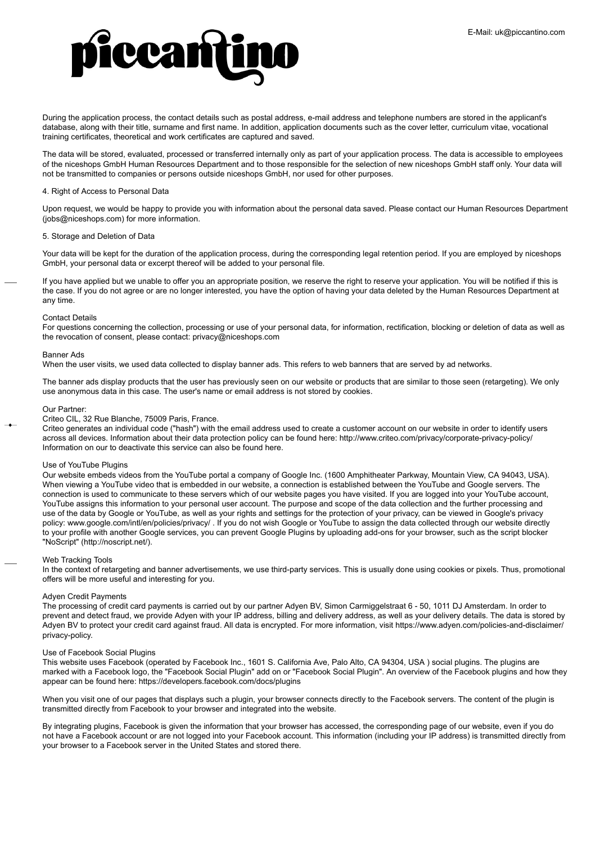

During the application process, the contact details such as postal address, e-mail address and telephone numbers are stored in the applicant's database, along with their title, surname and first name. In addition, application documents such as the cover letter, curriculum vitae, vocational training certificates, theoretical and work certificates are captured and saved.

The data will be stored, evaluated, processed or transferred internally only as part of your application process. The data is accessible to employees of the niceshops GmbH Human Resources Department and to those responsible for the selection of new niceshops GmbH staff only. Your data will not be transmitted to companies or persons outside niceshops GmbH, nor used for other purposes.

# 4. Right of Access to Personal Data

Upon request, we would be happy to provide you with information about the personal data saved. Please contact our Human Resources Department (jobs@niceshops.com) for more information.

# 5. Storage and Deletion of Data

Your data will be kept for the duration of the application process, during the corresponding legal retention period. If you are employed by niceshops GmbH, your personal data or excerpt thereof will be added to your personal file.

If you have applied but we unable to offer you an appropriate position, we reserve the right to reserve your application. You will be notified if this is the case. If you do not agree or are no longer interested, you have the option of having your data deleted by the Human Resources Department at any time.

#### Contact Details

For questions concerning the collection, processing or use of your personal data, for information, rectification, blocking or deletion of data as well as the revocation of consent, please contact: privacy@niceshops.com

# Banner Ads

When the user visits, we used data collected to display banner ads. This refers to web banners that are served by ad networks.

The banner ads display products that the user has previously seen on our website or products that are similar to those seen (retargeting). We only use anonymous data in this case. The user's name or email address is not stored by cookies.

#### Our Partner:

Criteo CIL, 32 Rue Blanche, 75009 Paris, France.

Criteo generates an individual code ("hash") with the email address used to create a customer account on our website in order to identify users across all devices. Information about their data protection policy can be found here: http://www.criteo.com/privacy/corporate-privacy-policy/ Information on our to deactivate this service can also be found here.

# Use of YouTube Plugins

Our website embeds videos from the YouTube portal a company of Google Inc. (1600 Amphitheater Parkway, Mountain View, CA 94043, USA). When viewing a YouTube video that is embedded in our website, a connection is established between the YouTube and Google servers. The connection is used to communicate to these servers which of our website pages you have visited. If you are logged into your YouTube account, YouTube assigns this information to your personal user account. The purpose and scope of the data collection and the further processing and use of the data by Google or YouTube, as well as your rights and settings for the protection of your privacy, can be viewed in Google's privacy policy: www.google.com/intl/en/policies/privacy/ . If you do not wish Google or YouTube to assign the data collected through our website directly to your profile with another Google services, you can prevent Google Plugins by uploading add-ons for your browser, such as the script blocker "NoScript" (http://noscript.net/).

#### Web Tracking Tools

In the context of retargeting and banner advertisements, we use third-party services. This is usually done using cookies or pixels. Thus, promotional offers will be more useful and interesting for you.

# Adyen Credit Payments

The processing of credit card payments is carried out by our partner Adyen BV, Simon Carmiggelstraat 6 - 50, 1011 DJ Amsterdam. In order to prevent and detect fraud, we provide Adyen with your IP address, billing and delivery address, as well as your delivery details. The data is stored by Adyen BV to protect your credit card against fraud. All data is encrypted. For more information, visit https://www.adyen.com/policies-and-disclaimer/ privacy-policy.

# Use of Facebook Social Plugins

This website uses Facebook (operated by Facebook Inc., 1601 S. California Ave, Palo Alto, CA 94304, USA ) social plugins. The plugins are marked with a Facebook logo, the "Facebook Social Plugin" add on or "Facebook Social Plugin". An overview of the Facebook plugins and how they appear can be found here: https://developers.facebook.com/docs/plugins

When you visit one of our pages that displays such a plugin, your browser connects directly to the Facebook servers. The content of the plugin is transmitted directly from Facebook to your browser and integrated into the website.

By integrating plugins, Facebook is given the information that your browser has accessed, the corresponding page of our website, even if you do not have a Facebook account or are not logged into your Facebook account. This information (including your IP address) is transmitted directly from your browser to a Facebook server in the United States and stored there.